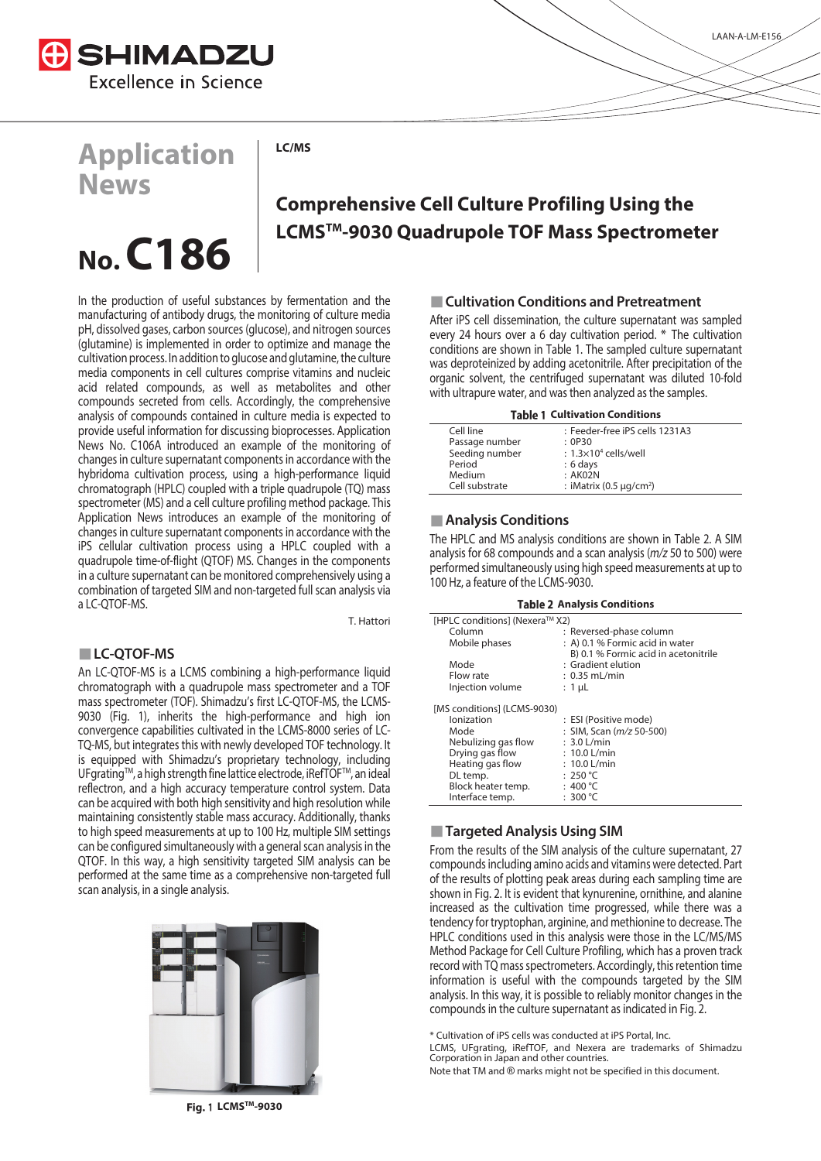

## **Application News**

**LC/MS** 

# **No. C186**

## **Comprehensive Cell Culture Profiling Using the LCMSTM-9030 Quadrupole TOF Mass Spectrometer**

In the production of useful substances by fermentation and the manufacturing of antibody drugs, the monitoring of culture media pH, dissolved gases, carbon sources (glucose), and nitrogen sources (glutamine) is implemented in order to optimize and manage the cultivation process. In addition to glucose and glutamine, the culture media components in cell cultures comprise vitamins and nucleic acid related compounds, as well as metabolites and other compounds secreted from cells. Accordingly, the comprehensive analysis of compounds contained in culture media is expected to provide useful information for discussing bioprocesses. Application News No. C106A introduced an example of the monitoring of changes in culture supernatant components in accordance with the hybridoma cultivation process, using a high-performance liquid chromatograph (HPLC) coupled with a triple quadrupole (TQ) mass spectrometer (MS) and a cell culture profiling method package. This Application News introduces an example of the monitoring of changes in culture supernatant components in accordance with the iPS cellular cultivation process using a HPLC coupled with a quadrupole time-of-flight (QTOF) MS. Changes in the components in a culture supernatant can be monitored comprehensively using a combination of targeted SIM and non-targeted full scan analysis via a LC-QTOF-MS.

T. Hattori

#### **LC-QTOF-MS**

An LC-QTOF-MS is a LCMS combining a high-performance liquid chromatograph with a quadrupole mass spectrometer and a TOF mass spectrometer (TOF). Shimadzu's first LC-QTOF-MS, the LCMS-9030 (Fig. 1), inherits the high-performance and high ion convergence capabilities cultivated in the LCMS-8000 series of LC-TQ-MS, but integrates this with newly developed TOF technology. It is equipped with Shimadzu's proprietary technology, including UFgrating™, a high strength fine lattice electrode, iRefTOF™, an ideal reflectron, and a high accuracy temperature control system. Data can be acquired with both high sensitivity and high resolution while maintaining consistently stable mass accuracy. Additionally, thanks to high speed measurements at up to 100 Hz, multiple SIM settings can be configured simultaneously with a general scan analysis in the QTOF. In this way, a high sensitivity targeted SIM analysis can be performed at the same time as a comprehensive non-targeted full scan analysis, in a single analysis.



### **Cultivation Conditions and Pretreatment**

After iPS cell dissemination, the culture supernatant was sampled every 24 hours over a 6 day cultivation period. \* The cultivation conditions are shown in Table 1. The sampled culture supernatant was deproteinized by adding acetonitrile. After precipitation of the organic solvent, the centrifuged supernatant was diluted 10-fold with ultrapure water, and was then analyzed as the samples.

| <b>Table 1 Cultivation Conditions</b> |                                          |
|---------------------------------------|------------------------------------------|
| Cell line                             | : Feeder-free iPS cells 1231A3           |
| Passage number                        | : OP30                                   |
| Seeding number                        | : $1.3\times10^4$ cells/well             |
| Period                                | $: 6 \text{ days}$                       |
| Medium                                | : AKO2N                                  |
| Cell substrate                        | : iMatrix (0.5 $\mu$ g/cm <sup>2</sup> ) |

#### **Analysis Conditions**

The HPLC and MS analysis conditions are shown in Table 2. A SIM analysis for 68 compounds and a scan analysis (m/z 50 to 500) were performed simultaneously using high speed measurements at up to 100 Hz, a feature of the LCMS-9030.

| <b>Table 2 Analysis Conditions</b> |                                      |  |
|------------------------------------|--------------------------------------|--|
| [HPLC conditions] (Nexera™ X2)     |                                      |  |
| Column                             | : Reversed-phase column              |  |
| Mobile phases                      | : A) 0.1 % Formic acid in water      |  |
|                                    | B) 0.1 % Formic acid in acetonitrile |  |
| Mode                               | $:$ Gradient elution                 |  |
| Flow rate                          | $: 0.35$ mL/min                      |  |
| Injection volume                   | : 1 µL                               |  |
| [MS conditions] (LCMS-9030)        |                                      |  |
| lonization                         | : ESI (Positive mode)                |  |
| Mode                               | : SIM, Scan (m/z 50-500)             |  |
| Nebulizing gas flow                | $: 3.0$ L/min                        |  |
| Drying gas flow                    | $: 10.0$ L/min                       |  |
| Heating gas flow                   | $: 10.0$ L/min                       |  |
| DL temp.                           | : 250 °C                             |  |
| Block heater temp.                 | : 400 °C                             |  |
| Interface temp.                    | : 300 °C                             |  |

#### **Targeted Analysis Using SIM**

From the results of the SIM analysis of the culture supernatant, 27 compounds including amino acids and vitamins were detected. Part of the results of plotting peak areas during each sampling time are shown in Fig. 2. It is evident that kynurenine, ornithine, and alanine increased as the cultivation time progressed, while there was a tendency for tryptophan, arginine, and methionine to decrease. The HPLC conditions used in this analysis were those in the LC/MS/MS Method Package for Cell Culture Profiling, which has a proven track record with TQ mass spectrometers. Accordingly, this retention time information is useful with the compounds targeted by the SIM analysis. In this way, it is possible to reliably monitor changes in the compounds in the culture supernatant as indicated in Fig. 2.

\* Cultivation of iPS cells was conducted at iPS Portal, Inc.

LCMS, UFgrating, iRefTOF, and Nexera are trademarks of Shimadzu Corporation in Japan and other countries.

Note that TM and ® marks might not be specified in this document.

**Fig. 1 LCMS<sup>™</sup>-9030**